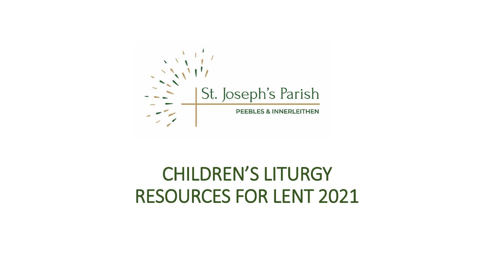

## CHILDREN'S LITURGY RESOURCES FOR LENT 2021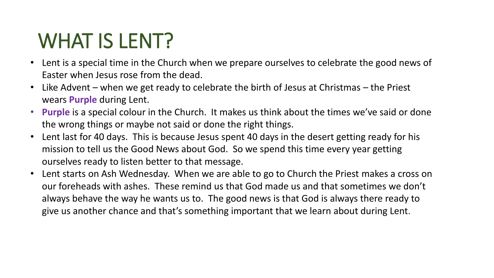# WHAT IS LENT?

- Lent is a special time in the Church when we prepare ourselves to celebrate the good news of Easter when Jesus rose from the dead.
- Like Advent when we get ready to celebrate the birth of Jesus at Christmas the Priest wears **Purple** during Lent.
- **Purple** is a special colour in the Church. It makes us think about the times we've said or done the wrong things or maybe not said or done the right things.
- Lent last for 40 days. This is because Jesus spent 40 days in the desert getting ready for his mission to tell us the Good News about God. So we spend this time every year getting ourselves ready to listen better to that message.
- Lent starts on Ash Wednesday. When we are able to go to Church the Priest makes a cross on our foreheads with ashes. These remind us that God made us and that sometimes we don't always behave the way he wants us to. The good news is that God is always there ready to give us another chance and that's something important that we learn about during Lent.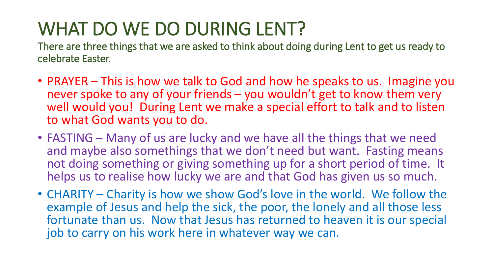## WHAT DO WE DO DURING LENT?

There are three things that we are asked to think about doing during Lent to get us ready to celebrate Easter.

- PRAYER This is how we talk to God and how he speaks to us. Imagine you never spoke to any of your friends – you wouldn't get to know them very well would you! During Lent we make a special effort to talk and to listen to what God wants you to do.
- FASTING Many of us are lucky and we have all the things that we need and maybe also somethings that we don't need but want. Fasting means not doing something or giving something up for a short period of time. It helps us to realise how lucky we are and that God has given us so much.
- CHARITY Charity is how we show God's love in the world. We follow the example of Jesus and help the sick, the poor, the lonely and all those less fortunate than us. Now that Jesus has returned to heaven it is our special job to carry on his work here in whatever way we can.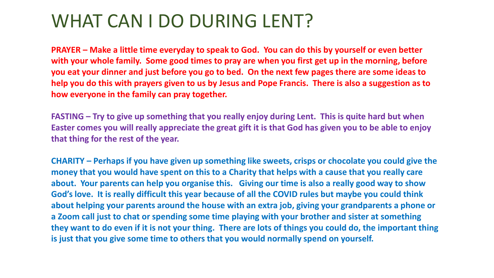## WHAT CAN I DO DURING LENT?

**PRAYER – Make a little time everyday to speak to God. You can do this by yourself or even better with your whole family. Some good times to pray are when you first get up in the morning, before you eat your dinner and just before you go to bed. On the next few pages there are some ideas to help you do this with prayers given to us by Jesus and Pope Francis. There is also a suggestion as to how everyone in the family can pray together.**

**FASTING – Try to give up something that you really enjoy during Lent. This is quite hard but when Easter comes you will really appreciate the great gift it is that God has given you to be able to enjoy that thing for the rest of the year.**

**CHARITY – Perhaps if you have given up something like sweets, crisps or chocolate you could give the money that you would have spent on this to a Charity that helps with a cause that you really care about. Your parents can help you organise this. Giving our time is also a really good way to show God's love. It is really difficult this year because of all the COVID rules but maybe you could think about helping your parents around the house with an extra job, giving your grandparents a phone or a Zoom call just to chat or spending some time playing with your brother and sister at something they want to do even if it is not your thing. There are lots of things you could do, the important thing is just that you give some time to others that you would normally spend on yourself.**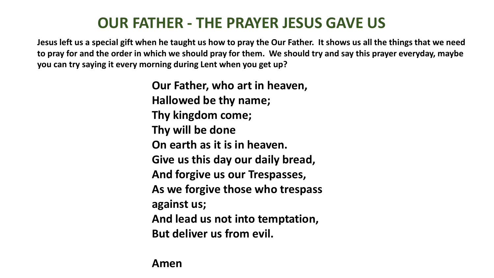### **OUR FATHER - THE PRAYER JESUS GAVE US**

**Jesus left us a special gift when he taught us how to pray the Our Father. It shows us all the things that we need to pray for and the order in which we should pray for them. We should try and say this prayer everyday, maybe you can try saying it every morning during Lent when you get up?**

> **Our Father, who art in heaven, Hallowed be thy name; Thy kingdom come; Thy will be done On earth as it is in heaven. Give us this day our daily bread, And forgive us our Trespasses, As we forgive those who trespass against us; And lead us not into temptation, But deliver us from evil.**

**Amen**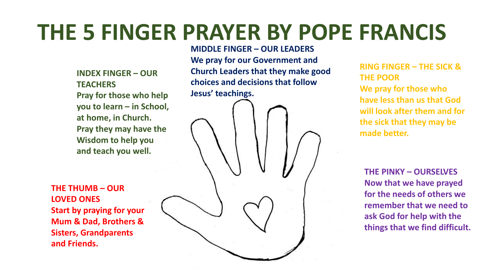# **THE 5 FINGER PRAYER BY POPE FRANCIS**

**INDEX FINGER – OUR TEACHERS Pray for those who help you to learn – in School, at home, in Church. Pray they may have the Wisdom to help you and teach you well.**

**THE THUMB – OUR LOVED ONES Start by praying for your Mum & Dad, Brothers & Sisters, Grandparents and Friends.**

**MIDDLE FINGER – OUR LEADERS We pray for our Government and Church Leaders that they make good choices and decisions that follow Jesus' teachings.**

**RING FINGER – THE SICK & THE POOR We pray for those who have less than us that God will look after them and for the sick that they may be made better.**

**THE PINKY – OURSELVES Now that we have prayed for the needs of others we remember that we need to ask God for help with the things that we find difficult.**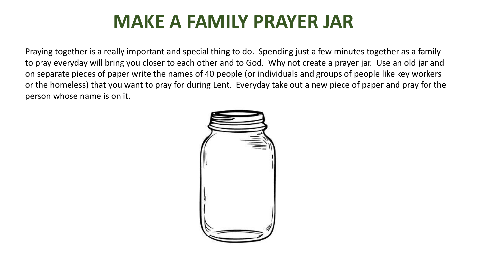### **MAKE A FAMILY PRAYER JAR**

Praying together is a really important and special thing to do. Spending just a few minutes together as a family to pray everyday will bring you closer to each other and to God. Why not create a prayer jar. Use an old jar and on separate pieces of paper write the names of 40 people (or individuals and groups of people like key workers or the homeless) that you want to pray for during Lent. Everyday take out a new piece of paper and pray for the person whose name is on it.